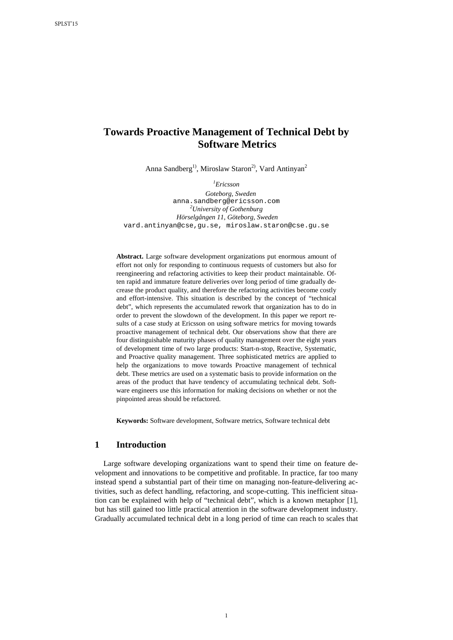# **Towards Proactive Management of Technical Debt by Software Metrics**

Anna Sandberg<sup>1)</sup>, Miroslaw Staron<sup>2)</sup>, Vard Antinyan<sup>2</sup>

*1 Ericsson*

*Goteborg, Sweden* anna.sandberg@ericsson.com *<sup>2</sup> University of Gothenburg Hörselgången 11, Göteborg, Sweden* [vard.antinyan@cse,gu.se,](mailto:vard.antinyan@cse,gu.se) [miroslaw.staron@cse.gu.se](mailto:miroslaw.staron@cse.gu.se) 

**Abstract.** Large software development organizations put enormous amount of effort not only for responding to continuous requests of customers but also for reengineering and refactoring activities to keep their product maintainable. Often rapid and immature feature deliveries over long period of time gradually decrease the product quality, and therefore the refactoring activities become costly and effort-intensive. This situation is described by the concept of "technical debt", which represents the accumulated rework that organization has to do in order to prevent the slowdown of the development. In this paper we report results of a case study at Ericsson on using software metrics for moving towards proactive management of technical debt. Our observations show that there are four distinguishable maturity phases of quality management over the eight years of development time of two large products: Start-n-stop, Reactive, Systematic, and Proactive quality management. Three sophisticated metrics are applied to help the organizations to move towards Proactive management of technical debt. These metrics are used on a systematic basis to provide information on the areas of the product that have tendency of accumulating technical debt. Software engineers use this information for making decisions on whether or not the pinpointed areas should be refactored.

**Keywords:** Software development, Software metrics, Software technical debt

## **1 Introduction**

Large software developing organizations want to spend their time on feature development and innovations to be competitive and profitable. In practice, far too many instead spend a substantial part of their time on managing non-feature-delivering activities, such as defect handling, refactoring, and scope-cutting. This inefficient situation can be explained with help of "technical debt", which is a known metaphor [\[1\]](#page-12-0), but has still gained too little practical attention in the software development industry. Gradually accumulated technical debt in a long period of time can reach to scales that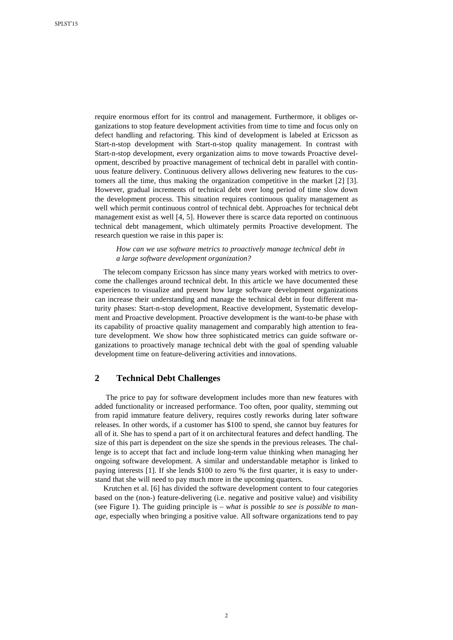require enormous effort for its control and management. Furthermore, it obliges organizations to stop feature development activities from time to time and focus only on defect handling and refactoring. This kind of development is labeled at Ericsson as Start-n-stop development with Start-n-stop quality management. In contrast with Start-n-stop development, every organization aims to move towards Proactive development, described by proactive management of technical debt in parallel with continuous feature delivery. Continuous delivery allows delivering new features to the customers all the time, thus making the organization competitive in the market [\[2\]](#page-12-1) [\[3\]](#page-12-2). However, gradual increments of technical debt over long period of time slow down the development process. This situation requires continuous quality management as well which permit continuous control of technical debt. Approaches for technical debt management exist as well [\[4,](#page-12-3) [5\]](#page-12-4). However there is scarce data reported on continuous technical debt management, which ultimately permits Proactive development. The research question we raise in this paper is:

*How can we use software metrics to proactively manage technical debt in a large software development organization?*

The telecom company Ericsson has since many years worked with metrics to overcome the challenges around technical debt. In this article we have documented these experiences to visualize and present how large software development organizations can increase their understanding and manage the technical debt in four different maturity phases: Start-n-stop development, Reactive development, Systematic development and Proactive development. Proactive development is the want-to-be phase with its capability of proactive quality management and comparably high attention to feature development. We show how three sophisticated metrics can guide software organizations to proactively manage technical debt with the goal of spending valuable development time on feature-delivering activities and innovations.

## **2 Technical Debt Challenges**

The price to pay for software development includes more than new features with added functionality or increased performance. Too often, poor quality, stemming out from rapid immature feature delivery, requires costly reworks during later software releases. In other words, if a customer has \$100 to spend, she cannot buy features for all of it. She has to spend a part of it on architectural features and defect handling. The size of this part is dependent on the size she spends in the previous releases. The challenge is to accept that fact and include long-term value thinking when managing her ongoing software development. A similar and understandable metaphor is linked to paying interests [\[1\]](#page-12-0). If she lends \$100 to zero % the first quarter, it is easy to understand that she will need to pay much more in the upcoming quarters.

Krutchen et al. [\[6\]](#page-12-5) has divided the software development content to four categories based on the (non-) feature-delivering (i.e. negative and positive value) and visibility (see [Figure 1\)](#page-2-0). The guiding principle is – *what is possible to see is possible to manage*, especially when bringing a positive value. All software organizations tend to pay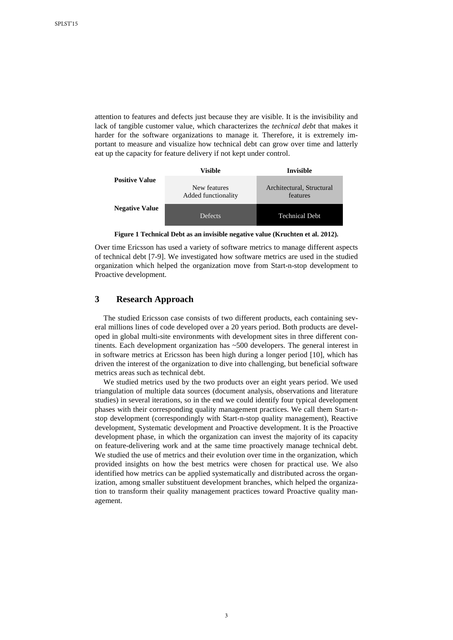attention to features and defects just because they are visible. It is the invisibility and lack of tangible customer value, which characterizes the *technical debt* that makes it harder for the software organizations to manage it*.* Therefore, it is extremely important to measure and visualize how technical debt can grow over time and latterly eat up the capacity for feature delivery if not kept under control.



**Figure 1 Technical Debt as an invisible negative value (Kruchten et al. 2012).**

<span id="page-2-0"></span>Over time Ericsson has used a variety of software metrics to manage different aspects of technical debt [\[7-9\]](#page-12-6). We investigated how software metrics are used in the studied organization which helped the organization move from Start-n-stop development to Proactive development.

## **3 Research Approach**

The studied Ericsson case consists of two different products, each containing several millions lines of code developed over a 20 years period. Both products are developed in global multi-site environments with development sites in three different continents. Each development organization has ~500 developers. The general interest in in software metrics at Ericsson has been high during a longer period [\[10\]](#page-13-0), which has driven the interest of the organization to dive into challenging, but beneficial software metrics areas such as technical debt.

We studied metrics used by the two products over an eight years period. We used triangulation of multiple data sources (document analysis, observations and literature studies) in several iterations, so in the end we could identify four typical development phases with their corresponding quality management practices. We call them Start-nstop development (correspondingly with Start-n-stop quality management), Reactive development, Systematic development and Proactive development. It is the Proactive development phase, in which the organization can invest the majority of its capacity on feature-delivering work and at the same time proactively manage technical debt. We studied the use of metrics and their evolution over time in the organization, which provided insights on how the best metrics were chosen for practical use. We also identified how metrics can be applied systematically and distributed across the organization, among smaller substituent development branches, which helped the organization to transform their quality management practices toward Proactive quality management.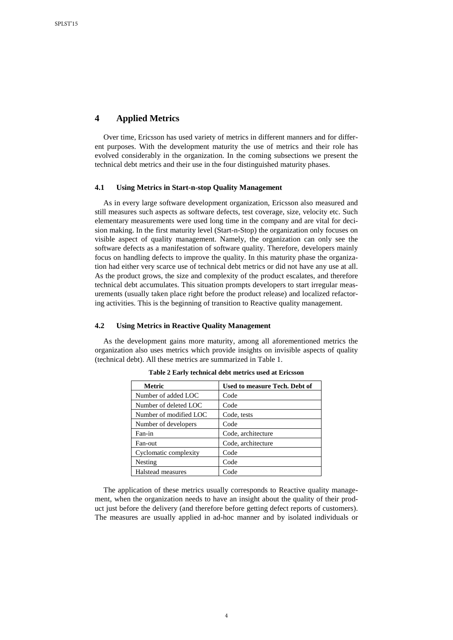# **4 Applied Metrics**

Over time, Ericsson has used variety of metrics in different manners and for different purposes. With the development maturity the use of metrics and their role has evolved considerably in the organization. In the coming subsections we present the technical debt metrics and their use in the four distinguished maturity phases.

### **4.1 Using Metrics in Start-n-stop Quality Management**

As in every large software development organization, Ericsson also measured and still measures such aspects as software defects, test coverage, size, velocity etc. Such elementary measurements were used long time in the company and are vital for decision making. In the first maturity level (Start-n-Stop) the organization only focuses on visible aspect of quality management. Namely, the organization can only see the software defects as a manifestation of software quality. Therefore, developers mainly focus on handling defects to improve the quality. In this maturity phase the organization had either very scarce use of technical debt metrics or did not have any use at all. As the product grows, the size and complexity of the product escalates, and therefore technical debt accumulates. This situation prompts developers to start irregular measurements (usually taken place right before the product release) and localized refactoring activities. This is the beginning of transition to Reactive quality management.

### **4.2 Using Metrics in Reactive Quality Management**

As the development gains more maturity, among all aforementioned metrics the organization also uses metrics which provide insights on invisible aspects of quality (technical debt). All these metrics are summarized in Table 1.

| Metric                 | Used to measure Tech. Debt of |
|------------------------|-------------------------------|
| Number of added LOC    | Code                          |
| Number of deleted LOC  | Code                          |
| Number of modified LOC | Code, tests                   |
| Number of developers   | Code                          |
| Fan-in                 | Code, architecture            |
| Fan-out                | Code, architecture            |
| Cyclomatic complexity  | Code                          |
| Nesting                | Code                          |
| Halstead measures      | Code                          |

**Table 2 Early technical debt metrics used at Ericsson**

The application of these metrics usually corresponds to Reactive quality management, when the organization needs to have an insight about the quality of their product just before the delivery (and therefore before getting defect reports of customers). The measures are usually applied in ad-hoc manner and by isolated individuals or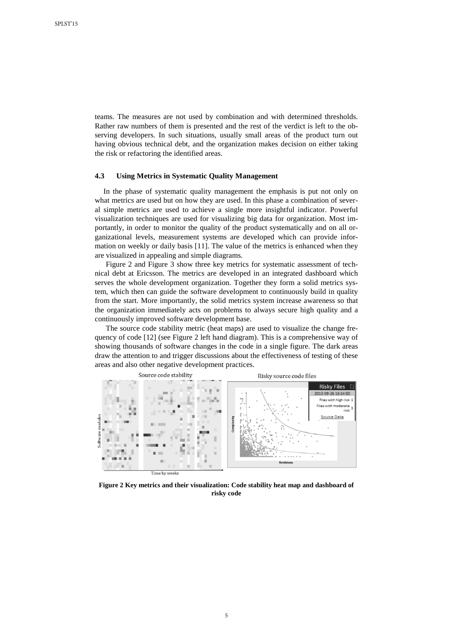teams. The measures are not used by combination and with determined thresholds. Rather raw numbers of them is presented and the rest of the verdict is left to the observing developers. In such situations, usually small areas of the product turn out having obvious technical debt, and the organization makes decision on either taking the risk or refactoring the identified areas.

#### **4.3 Using Metrics in Systematic Quality Management**

In the phase of systematic quality management the emphasis is put not only on what metrics are used but on how they are used. In this phase a combination of several simple metrics are used to achieve a single more insightful indicator. Powerful visualization techniques are used for visualizing big data for organization. Most importantly, in order to monitor the quality of the product systematically and on all organizational levels, measurement systems are developed which can provide information on weekly or daily basis [\[11\]](#page-13-1). The value of the metrics is enhanced when they are visualized in appealing and simple diagrams.

[Figure 2](#page-4-0) and [Figure 3](#page-5-0) show three key metrics for systematic assessment of technical debt at Ericsson. The metrics are developed in an integrated dashboard which serves the whole development organization. Together they form a solid metrics system, which then can guide the software development to continuously build in quality from the start. More importantly, the solid metrics system increase awareness so that the organization immediately acts on problems to always secure high quality and a continuously improved software development base.

The source code stability metric (heat maps) are used to visualize the change frequency of code [\[12\]](#page-13-2) (see [Figure 2](#page-4-0) left hand diagram). This is a comprehensive way of showing thousands of software changes in the code in a single figure. The dark areas draw the attention to and trigger discussions about the effectiveness of testing of these areas and also other negative development practices.



<span id="page-4-0"></span>**Figure 2 Key metrics and their visualization: Code stability heat map and dashboard of risky code**

5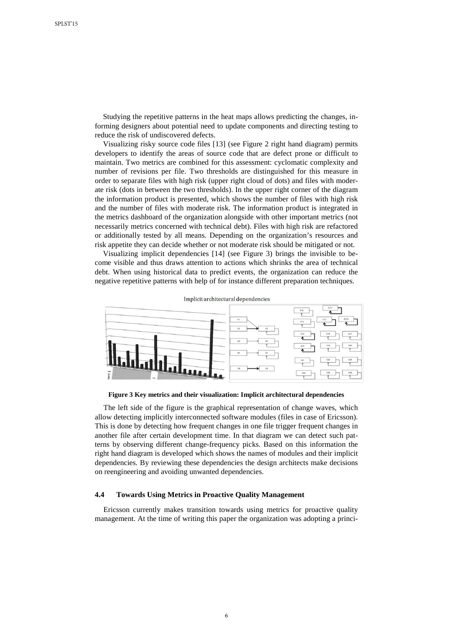Studying the repetitive patterns in the heat maps allows predicting the changes, informing designers about potential need to update components and directing testing to reduce the risk of undiscovered defects.

Visualizing risky source code files [\[13\]](#page-13-3) (see [Figure 2](#page-4-0) right hand diagram) permits developers to identify the areas of source code that are defect prone or difficult to maintain. Two metrics are combined for this assessment: cyclomatic complexity and number of revisions per file. Two thresholds are distinguished for this measure in order to separate files with high risk (upper right cloud of dots) and files with moderate risk (dots in between the two thresholds). In the upper right corner of the diagram the information product is presented, which shows the number of files with high risk and the number of files with moderate risk. The information product is integrated in the metrics dashboard of the organization alongside with other important metrics (not necessarily metrics concerned with technical debt). Files with high risk are refactored or additionally tested by all means. Depending on the organization's resources and risk appetite they can decide whether or not moderate risk should be mitigated or not.

Visualizing implicit dependencies [\[14\]](#page-13-4) (see [Figure 3\)](#page-5-0) brings the invisible to become visible and thus draws attention to actions which shrinks the area of technical debt. When using historical data to predict events, the organization can reduce the negative repetitive patterns with help of for instance different preparation techniques.



<span id="page-5-0"></span>**Figure 3 Key metrics and their visualization: Implicit architectural dependencies**

The left side of the figure is the graphical representation of change waves, which allow detecting implicitly interconnected software modules (files in case of Ericsson). This is done by detecting how frequent changes in one file trigger frequent changes in another file after certain development time. In that diagram we can detect such patterns by observing different change-frequency picks. Based on this information the right hand diagram is developed which shows the names of modules and their implicit dependencies. By reviewing these dependencies the design architects make decisions on reengineering and avoiding unwanted dependencies.

#### **4.4 Towards Using Metrics in Proactive Quality Management**

Ericsson currently makes transition towards using metrics for proactive quality management. At the time of writing this paper the organization was adopting a princi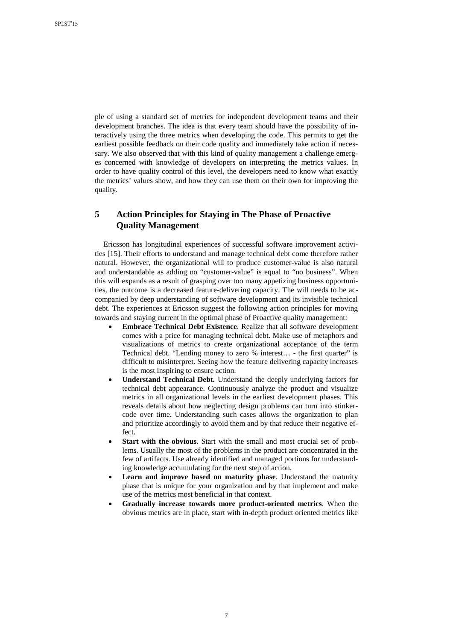ple of using a standard set of metrics for independent development teams and their development branches. The idea is that every team should have the possibility of interactively using the three metrics when developing the code. This permits to get the earliest possible feedback on their code quality and immediately take action if necessary. We also observed that with this kind of quality management a challenge emerges concerned with knowledge of developers on interpreting the metrics values. In order to have quality control of this level, the developers need to know what exactly the metrics' values show, and how they can use them on their own for improving the quality.

# **5 Action Principles for Staying in The Phase of Proactive Quality Management**

Ericsson has longitudinal experiences of successful software improvement activities [\[15\]](#page-13-5). Their efforts to understand and manage technical debt come therefore rather natural. However, the organizational will to produce customer-value is also natural and understandable as adding no "customer-value" is equal to "no business". When this will expands as a result of grasping over too many appetizing business opportunities, the outcome is a decreased feature-delivering capacity. The will needs to be accompanied by deep understanding of software development and its invisible technical debt. The experiences at Ericsson suggest the following action principles for moving towards and staying current in the optimal phase of Proactive quality management:

- **Embrace Technical Debt Existence**. Realize that all software development comes with a price for managing technical debt. Make use of metaphors and visualizations of metrics to create organizational acceptance of the term Technical debt. "Lending money to zero % interest… - the first quarter" is difficult to misinterpret. Seeing how the feature delivering capacity increases is the most inspiring to ensure action.
- **Understand Technical Debt***.* Understand the deeply underlying factors for technical debt appearance. Continuously analyze the product and visualize metrics in all organizational levels in the earliest development phases. This reveals details about how neglecting design problems can turn into stinkercode over time. Understanding such cases allows the organization to plan and prioritize accordingly to avoid them and by that reduce their negative effect.
- **Start with the obvious**. Start with the small and most crucial set of problems. Usually the most of the problems in the product are concentrated in the few of artifacts. Use already identified and managed portions for understanding knowledge accumulating for the next step of action.
- **Learn and improve based on maturity phase.** Understand the maturity phase that is unique for your organization and by that implement and make use of the metrics most beneficial in that context.
- **Gradually increase towards more product-oriented metrics**. When the obvious metrics are in place, start with in-depth product oriented metrics like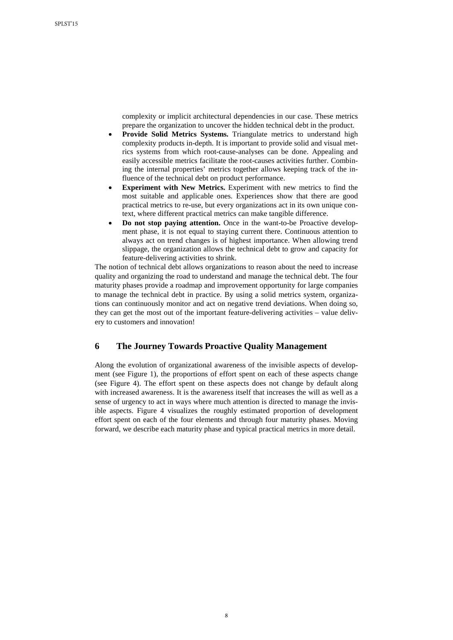complexity or implicit architectural dependencies in our case. These metrics prepare the organization to uncover the hidden technical debt in the product.

- **Provide Solid Metrics Systems.** Triangulate metrics to understand high complexity products in-depth. It is important to provide solid and visual metrics systems from which root-cause-analyses can be done. Appealing and easily accessible metrics facilitate the root-causes activities further. Combining the internal properties' metrics together allows keeping track of the influence of the technical debt on product performance.
- **Experiment with New Metrics.** Experiment with new metrics to find the most suitable and applicable ones. Experiences show that there are good practical metrics to re-use, but every organizations act in its own unique context, where different practical metrics can make tangible difference.
- **Do not stop paying attention.** Once in the want-to-be Proactive development phase, it is not equal to staying current there. Continuous attention to always act on trend changes is of highest importance. When allowing trend slippage, the organization allows the technical debt to grow and capacity for feature-delivering activities to shrink.

The notion of technical debt allows organizations to reason about the need to increase quality and organizing the road to understand and manage the technical debt. The four maturity phases provide a roadmap and improvement opportunity for large companies to manage the technical debt in practice. By using a solid metrics system, organizations can continuously monitor and act on negative trend deviations. When doing so, they can get the most out of the important feature-delivering activities – value delivery to customers and innovation!

## **6 The Journey Towards Proactive Quality Management**

Along the evolution of organizational awareness of the invisible aspects of development (see [Figure 1\)](#page-2-0), the proportions of effort spent on each of these aspects change (see [Figure 4\)](#page-8-0). The effort spent on these aspects does not change by default along with increased awareness. It is the awareness itself that increases the will as well as a sense of urgency to act in ways where much attention is directed to manage the invisible aspects. [Figure 4](#page-8-0) visualizes the roughly estimated proportion of development effort spent on each of the four elements and through four maturity phases. Moving forward, we describe each maturity phase and typical practical metrics in more detail.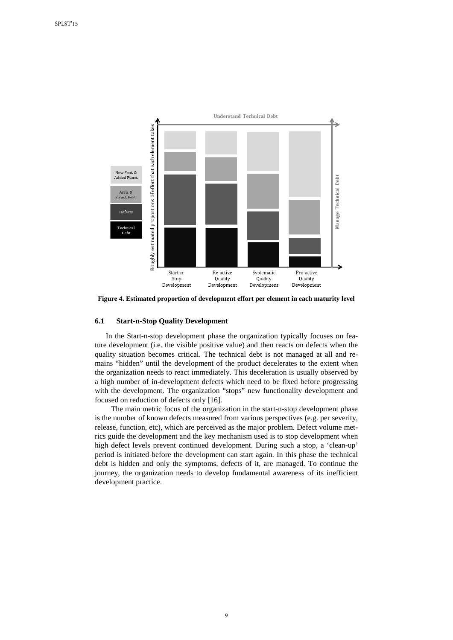

<span id="page-8-0"></span>**Figure 4. Estimated proportion of development effort per element in each maturity level**

### **6.1 Start-n-Stop Quality Development**

In the Start-n-stop development phase the organization typically focuses on feature development (i.e. the visible positive value) and then reacts on defects when the quality situation becomes critical. The technical debt is not managed at all and remains "hidden" until the development of the product decelerates to the extent when the organization needs to react immediately. This deceleration is usually observed by a high number of in-development defects which need to be fixed before progressing with the development. The organization "stops" new functionality development and focused on reduction of defects only [\[16\]](#page-13-6).

The main metric focus of the organization in the start-n-stop development phase is the number of known defects measured from various perspectives (e.g. per severity, release, function, etc), which are perceived as the major problem. Defect volume metrics guide the development and the key mechanism used is to stop development when high defect levels prevent continued development. During such a stop, a 'clean-up' period is initiated before the development can start again. In this phase the technical debt is hidden and only the symptoms, defects of it, are managed. To continue the journey, the organization needs to develop fundamental awareness of its inefficient development practice.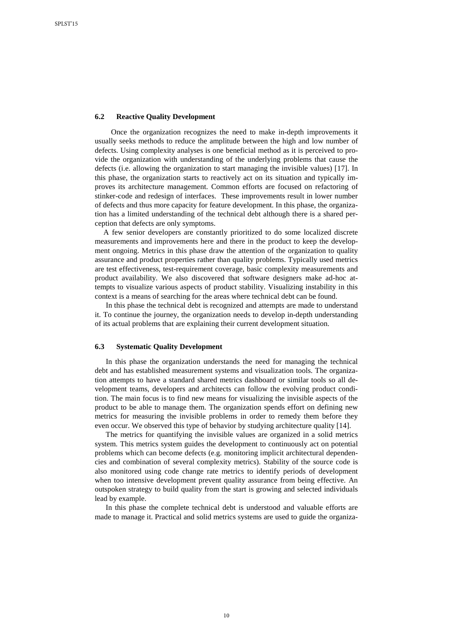#### **6.2 Reactive Quality Development**

Once the organization recognizes the need to make in-depth improvements it usually seeks methods to reduce the amplitude between the high and low number of defects. Using complexity analyses is one beneficial method as it is perceived to provide the organization with understanding of the underlying problems that cause the defects (i.e. allowing the organization to start managing the invisible values) [\[17\]](#page-13-7). In this phase, the organization starts to reactively act on its situation and typically improves its architecture management. Common efforts are focused on refactoring of stinker-code and redesign of interfaces. These improvements result in lower number of defects and thus more capacity for feature development. In this phase, the organization has a limited understanding of the technical debt although there is a shared perception that defects are only symptoms.

A few senior developers are constantly prioritized to do some localized discrete measurements and improvements here and there in the product to keep the development ongoing. Metrics in this phase draw the attention of the organization to quality assurance and product properties rather than quality problems. Typically used metrics are test effectiveness, test-requirement coverage, basic complexity measurements and product availability. We also discovered that software designers make ad-hoc attempts to visualize various aspects of product stability. Visualizing instability in this context is a means of searching for the areas where technical debt can be found.

In this phase the technical debt is recognized and attempts are made to understand it. To continue the journey, the organization needs to develop in-depth understanding of its actual problems that are explaining their current development situation.

### **6.3 Systematic Quality Development**

In this phase the organization understands the need for managing the technical debt and has established measurement systems and visualization tools. The organization attempts to have a standard shared metrics dashboard or similar tools so all development teams, developers and architects can follow the evolving product condition. The main focus is to find new means for visualizing the invisible aspects of the product to be able to manage them. The organization spends effort on defining new metrics for measuring the invisible problems in order to remedy them before they even occur. We observed this type of behavior by studying architecture quality [\[14\]](#page-13-4).

The metrics for quantifying the invisible values are organized in a solid metrics system. This metrics system guides the development to continuously act on potential problems which can become defects (e.g. monitoring implicit architectural dependencies and combination of several complexity metrics). Stability of the source code is also monitored using code change rate metrics to identify periods of development when too intensive development prevent quality assurance from being effective. An outspoken strategy to build quality from the start is growing and selected individuals lead by example.

In this phase the complete technical debt is understood and valuable efforts are made to manage it. Practical and solid metrics systems are used to guide the organiza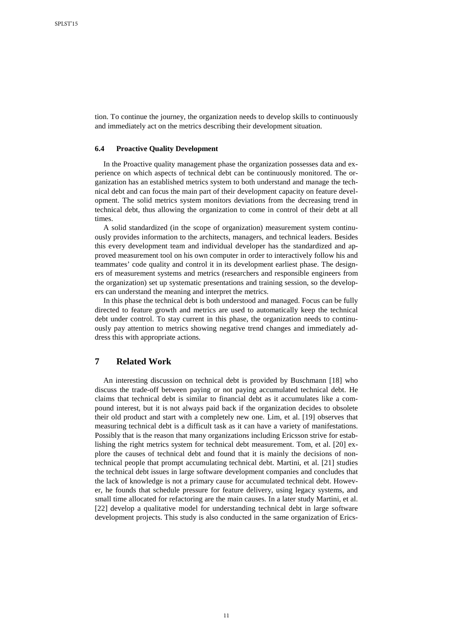tion. To continue the journey, the organization needs to develop skills to continuously and immediately act on the metrics describing their development situation.

#### **6.4 Proactive Quality Development**

In the Proactive quality management phase the organization possesses data and experience on which aspects of technical debt can be continuously monitored. The organization has an established metrics system to both understand and manage the technical debt and can focus the main part of their development capacity on feature development. The solid metrics system monitors deviations from the decreasing trend in technical debt, thus allowing the organization to come in control of their debt at all times.

A solid standardized (in the scope of organization) measurement system continuously provides information to the architects, managers, and technical leaders. Besides this every development team and individual developer has the standardized and approved measurement tool on his own computer in order to interactively follow his and teammates' code quality and control it in its development earliest phase. The designers of measurement systems and metrics (researchers and responsible engineers from the organization) set up systematic presentations and training session, so the developers can understand the meaning and interpret the metrics.

In this phase the technical debt is both understood and managed. Focus can be fully directed to feature growth and metrics are used to automatically keep the technical debt under control. To stay current in this phase, the organization needs to continuously pay attention to metrics showing negative trend changes and immediately address this with appropriate actions.

# **7 Related Work**

An interesting discussion on technical debt is provided by [Buschmann \[18\]](#page-13-8) who discuss the trade-off between paying or not paying accumulated technical debt. He claims that technical debt is similar to financial debt as it accumulates like a compound interest, but it is not always paid back if the organization decides to obsolete their old product and start with a completely new one. [Lim, et al. \[19\]](#page-13-9) observes that measuring technical debt is a difficult task as it can have a variety of manifestations. Possibly that is the reason that many organizations including Ericsson strive for establishing the right metrics system for technical debt measurement. [Tom, et al. \[20\]](#page-13-10) explore the causes of technical debt and found that it is mainly the decisions of nontechnical people that prompt accumulating technical debt. [Martini, et al. \[21\]](#page-13-11) studies the technical debt issues in large software development companies and concludes that the lack of knowledge is not a primary cause for accumulated technical debt. However, he founds that schedule pressure for feature delivery, using legacy systems, and small time allocated for refactoring are the main causes. In a later study [Martini, et al.](#page-13-12)  [\[22\]](#page-13-12) develop a qualitative model for understanding technical debt in large software development projects. This study is also conducted in the same organization of Erics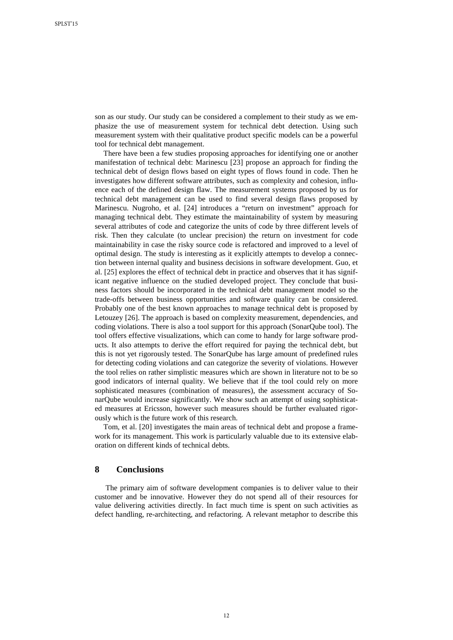son as our study. Our study can be considered a complement to their study as we emphasize the use of measurement system for technical debt detection. Using such measurement system with their qualitative product specific models can be a powerful tool for technical debt management.

There have been a few studies proposing approaches for identifying one or another manifestation of technical debt: [Marinescu \[23\]](#page-13-13) propose an approach for finding the technical debt of design flows based on eight types of flows found in code. Then he investigates how different software attributes, such as complexity and cohesion, influence each of the defined design flaw. The measurement systems proposed by us for technical debt management can be used to find several design flaws proposed by Marinescu. [Nugroho, et al. \[24\]](#page-13-14) introduces a "return on investment" approach for managing technical debt. They estimate the maintainability of system by measuring several attributes of code and categorize the units of code by three different levels of risk. Then they calculate (to unclear precision) the return on investment for code maintainability in case the risky source code is refactored and improved to a level of optimal design. The study is interesting as it explicitly attempts to develop a connection between internal quality and business decisions in software development. [Guo, et](#page-14-0)  [al. \[25\]](#page-14-0) explores the effect of technical debt in practice and observes that it has significant negative influence on the studied developed project. They conclude that business factors should be incorporated in the technical debt management model so the trade-offs between business opportunities and software quality can be considered. Probably one of the best known approaches to manage technical debt is proposed by [Letouzey \[26\]](#page-14-1). The approach is based on complexity measurement, dependencies, and coding violations. There is also a tool support for this approach (SonarQube tool). The tool offers effective visualizations, which can come to handy for large software products. It also attempts to derive the effort required for paying the technical debt, but this is not yet rigorously tested. The SonarQube has large amount of predefined rules for detecting coding violations and can categorize the severity of violations. However the tool relies on rather simplistic measures which are shown in literature not to be so good indicators of internal quality. We believe that if the tool could rely on more sophisticated measures (combination of measures), the assessment accuracy of SonarQube would increase significantly. We show such an attempt of using sophisticated measures at Ericsson, however such measures should be further evaluated rigorously which is the future work of this research.

[Tom, et al. \[20\]](#page-13-10) investigates the main areas of technical debt and propose a framework for its management. This work is particularly valuable due to its extensive elaboration on different kinds of technical debts.

### **8 Conclusions**

The primary aim of software development companies is to deliver value to their customer and be innovative. However they do not spend all of their resources for value delivering activities directly. In fact much time is spent on such activities as defect handling, re-architecting, and refactoring. A relevant metaphor to describe this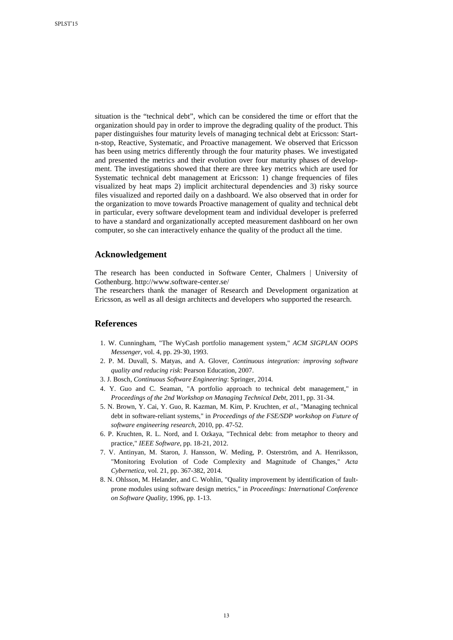situation is the "technical debt", which can be considered the time or effort that the organization should pay in order to improve the degrading quality of the product. This paper distinguishes four maturity levels of managing technical debt at Ericsson: Startn-stop, Reactive, Systematic, and Proactive management. We observed that Ericsson has been using metrics differently through the four maturity phases. We investigated and presented the metrics and their evolution over four maturity phases of development. The investigations showed that there are three key metrics which are used for Systematic technical debt management at Ericsson: 1) change frequencies of files visualized by heat maps 2) implicit architectural dependencies and 3) risky source files visualized and reported daily on a dashboard. We also observed that in order for the organization to move towards Proactive management of quality and technical debt in particular, every software development team and individual developer is preferred to have a standard and organizationally accepted measurement dashboard on her own computer, so she can interactively enhance the quality of the product all the time.

### **Acknowledgement**

The research has been conducted in Software Center, Chalmers | University of Gothenburg.<http://www.software-center.se/>

The researchers thank the manager of Research and Development organization at Ericsson, as well as all design architects and developers who supported the research.

### **References**

- <span id="page-12-0"></span>1. W. Cunningham, "The WyCash portfolio management system," *ACM SIGPLAN OOPS Messenger,* vol. 4, pp. 29-30, 1993.
- <span id="page-12-1"></span>2. P. M. Duvall, S. Matyas, and A. Glover, *Continuous integration: improving software quality and reducing risk*: Pearson Education, 2007.
- <span id="page-12-2"></span>3. J. Bosch, *Continuous Software Engineering*: Springer, 2014.
- <span id="page-12-3"></span>4. Y. Guo and C. Seaman, "A portfolio approach to technical debt management," in *Proceedings of the 2nd Workshop on Managing Technical Debt*, 2011, pp. 31-34.
- <span id="page-12-4"></span>5. N. Brown, Y. Cai, Y. Guo, R. Kazman, M. Kim, P. Kruchten*, et al.*, "Managing technical debt in software-reliant systems," in *Proceedings of the FSE/SDP workshop on Future of software engineering research*, 2010, pp. 47-52.
- <span id="page-12-5"></span>6. P. Kruchten, R. L. Nord, and I. Ozkaya, "Technical debt: from metaphor to theory and practice," *IEEE Software,* pp. 18-21, 2012.
- <span id="page-12-6"></span>7. V. Antinyan, M. Staron, J. Hansson, W. Meding, P. Osterström, and A. Henriksson, "Monitoring Evolution of Code Complexity and Magnitude of Changes," *Acta Cybernetica,* vol. 21, pp. 367-382, 2014.
- 8. N. Ohlsson, M. Helander, and C. Wohlin, "Quality improvement by identification of faultprone modules using software design metrics," in *Proceedings: International Conference on Software Quality*, 1996, pp. 1-13.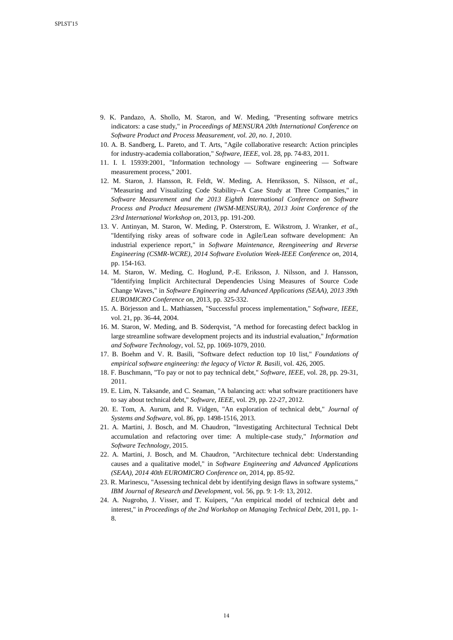- 9. K. Pandazo, A. Shollo, M. Staron, and W. Meding, "Presenting software metrics indicators: a case study," in *Proceedings of MENSURA 20th International Conference on Software Product and Process Measurement, vol. 20, no. 1*, 2010.
- <span id="page-13-0"></span>10. A. B. Sandberg, L. Pareto, and T. Arts, "Agile collaborative research: Action principles for industry-academia collaboration," *Software, IEEE,* vol. 28, pp. 74-83, 2011.
- <span id="page-13-1"></span>11. I. I. 15939:2001, "Information technology — Software engineering — Software measurement process," 2001.
- <span id="page-13-2"></span>12. M. Staron, J. Hansson, R. Feldt, W. Meding, A. Henriksson, S. Nilsson*, et al.*, "Measuring and Visualizing Code Stability--A Case Study at Three Companies," in *Software Measurement and the 2013 Eighth International Conference on Software Process and Product Measurement (IWSM-MENSURA), 2013 Joint Conference of the 23rd International Workshop on*, 2013, pp. 191-200.
- <span id="page-13-3"></span>13. V. Antinyan, M. Staron, W. Meding, P. Osterstrom, E. Wikstrom, J. Wranker*, et al.*, "Identifying risky areas of software code in Agile/Lean software development: An industrial experience report," in *Software Maintenance, Reengineering and Reverse Engineering (CSMR-WCRE), 2014 Software Evolution Week-IEEE Conference on*, 2014, pp. 154-163.
- <span id="page-13-4"></span>14. M. Staron, W. Meding, C. Hoglund, P.-E. Eriksson, J. Nilsson, and J. Hansson, "Identifying Implicit Architectural Dependencies Using Measures of Source Code Change Waves," in *Software Engineering and Advanced Applications (SEAA), 2013 39th EUROMICRO Conference on*, 2013, pp. 325-332.
- <span id="page-13-5"></span>15. A. Börjesson and L. Mathiassen, "Successful process implementation," *Software, IEEE,*  vol. 21, pp. 36-44, 2004.
- <span id="page-13-6"></span>16. M. Staron, W. Meding, and B. Söderqvist, "A method for forecasting defect backlog in large streamline software development projects and its industrial evaluation," *Information and Software Technology,* vol. 52, pp. 1069-1079, 2010.
- <span id="page-13-7"></span>17. B. Boehm and V. R. Basili, "Software defect reduction top 10 list," *Foundations of empirical software engineering: the legacy of Victor R. Basili,* vol. 426, 2005.
- <span id="page-13-8"></span>18. F. Buschmann, "To pay or not to pay technical debt," *Software, IEEE,* vol. 28, pp. 29-31, 2011.
- <span id="page-13-9"></span>19. E. Lim, N. Taksande, and C. Seaman, "A balancing act: what software practitioners have to say about technical debt," *Software, IEEE,* vol. 29, pp. 22-27, 2012.
- <span id="page-13-10"></span>20. E. Tom, A. Aurum, and R. Vidgen, "An exploration of technical debt," *Journal of Systems and Software,* vol. 86, pp. 1498-1516, 2013.
- <span id="page-13-11"></span>21. A. Martini, J. Bosch, and M. Chaudron, "Investigating Architectural Technical Debt accumulation and refactoring over time: A multiple-case study," *Information and Software Technology,* 2015.
- <span id="page-13-12"></span>22. A. Martini, J. Bosch, and M. Chaudron, "Architecture technical debt: Understanding causes and a qualitative model," in *Software Engineering and Advanced Applications (SEAA), 2014 40th EUROMICRO Conference on*, 2014, pp. 85-92.
- <span id="page-13-13"></span>23. R. Marinescu, "Assessing technical debt by identifying design flaws in software systems," *IBM Journal of Research and Development,* vol. 56, pp. 9: 1-9: 13, 2012.
- <span id="page-13-14"></span>24. A. Nugroho, J. Visser, and T. Kuipers, "An empirical model of technical debt and interest," in *Proceedings of the 2nd Workshop on Managing Technical Debt*, 2011, pp. 1- 8.